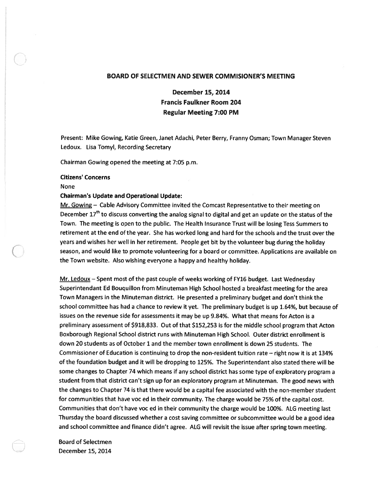# BOARD OF SELECTMEN AND SEWER COMMISIONER'S MEETING

December 15, 2014 Francis Faulkner Room 204 Regular Meeting 7:00 PM

Present: Mike Gowing, Katie Green, Janet Adachi, Peter Berry, Franny Osman; Town Manager Steven Ledoux. Lisa Tomyl, Recording Secretary

Chairman Gowing opened the meeting at 7:05 p.m.

## Citizens' Concerns

None

#### Chairman's Update and Operational Update:

Mr. Gowing - Cable Advisory Committee invited the Comcast Representative to their meeting on December  $17<sup>th</sup>$  to discuss converting the analog signal to digital and get an update on the status of the Town. The meeting is open to the public. The Heafth Insurance Trust will be losing Tess Summers to retirement at the end of the year. She has worked long and hard for the schools and the trust over the years and wishes her well in her retirement. People ge<sup>t</sup> bit by the volunteer bug during the holiday season, and would like to promote volunteering for <sup>a</sup> board or committee. Applications are available on the Town website. Also wishing everyone <sup>a</sup> happy and healthy holiday.

Mr. Ledoux — Spent most of the pas<sup>t</sup> couple of weeks working of FY16 budget. Last Wednesday Superintendant Ed Bouquillon from Minuteman High School hosted <sup>a</sup> breakfast meeting for the area Town Managers in the Minuteman district. He presented <sup>a</sup> preliminary budget and don't think the school committee has had <sup>a</sup> chance to review it yet. The preliminary budget is up 1.64%, but because of issues on the revenue side for assessments it may be up 9.84%. What that means for Acton is <sup>a</sup> preliminary assessment of \$918,833. Out of that \$152,253 is for the middle school program that Acton Boxborough Regional School district runs with Minuteman High School. Outer district enrollment is down 20 students as of October 1 and the member town enrollment is down 25 students. The Commissioner of Education is continuing to drop the non-resident tuition rate — right now it is at 134% of the foundation budget and it will be dropping to 125%. The Superintendant also stated there will be some changes to Chapter 74 which means if any school district has some type of exploratory program <sup>a</sup> student from that district can't sign up for an exploratory program at Minuteman. The good news with the changes to Chapter 74 is that there would be <sup>a</sup> capital fee associated with the non-member student for communities that have voc ed in their community. The charge would be 75% of the capital cost. Communities that don't have voc ed in their community the charge would be 100%. ALG meeting last Thursday the board discussed whether <sup>a</sup> cost saving committee or subcommittee would be <sup>a</sup> goo<sup>d</sup> idea and school committee and finance didn't agree. ALG will revisit the issue after spring town meeting.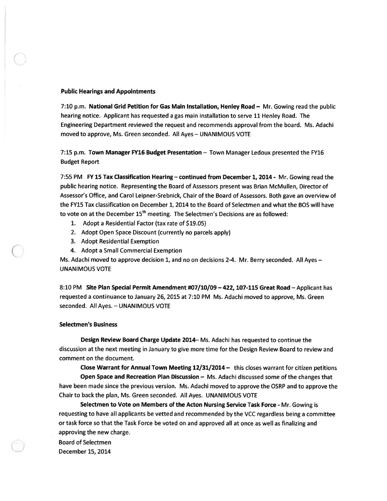#### Public Hearings and Appointments

7:10 p.m. National Grid Petition for Gas Main Installation, Henley Road — Mr. Gowing read the public hearing notice. Applicant has requested <sup>a</sup> gas main installation to serve 11 Henley Road. The Engineering Department reviewed the reques<sup>t</sup> and recommends approval from the board. Ms. Adachi moved to approve, Ms. Green seconded. All Ayes — UNANIMOUS VOTE

7:15 p.m. Town Manager FY16 Budget Presentation - Town Manager Ledoux presented the FY16 Budget Report

7:55 PM FY 15 Tax Classification Hearing — continued from December 1, 2014 - Mr. Gowing read the public hearing notice. Representing the Board of Assessors presen<sup>t</sup> was Brian McMullen, Director of Assessor's Office, and Carol Leipner-Srebnick, Chair of the Board of Assessors. Both gave an overview of the FY15 Tax classification on December 1, 2014 to the Board of Selectmen and what the BOS will have to vote on at the December  $15<sup>th</sup>$  meeting. The Selectmen's Decisions are as followed:

- 1. Adopt <sup>a</sup> Residential Factor (tax rate of \$19.05)
- 2. Adopt Open Space Discount (currently no parcels apply)
- 3. Adopt Residential Exemption
- 4. Adopt <sup>a</sup> Small Commercial Exemption

Ms. Adachi moved to approve decision 1, and no on decisions 2-4. Mr. Berry seconded. All Ayes -UNANIMOUS VOTE

8:10 PM Site Plan Special Permit Amendment #07/10/09—422, 107-115 Great Road—Applicant has requested <sup>a</sup> continuance to January 26, 2015 at 7:10 PM Ms. Adachi moved to approve, Ms. Green seconded. All Ayes. — UNANIMOUS VOTE

## Selectmen's Business

Design Review Board Charge Update 2014— Ms. Adachi has requested to continue the discussion at the next meeting in January to give more time for the Design Review Board to review and comment on the document.

Close Warrant for Annual Town Meeting 12/31/2014 — this closes warrant for citizen petitions

Open Space and Recreation Plan Discussion - Ms. Adachi discussed some of the changes that have been made since the previous version. Ms. Adachi moved to approve the OSRP and to approve the Chair to back the plan, Ms. Green seconded. All Ayes. UNANIMOUS VOTE

Selectmen to Vote on Members of the Acton Nursing Service Task Force - Mr. Gowing is requesting to have all applicants be vetted and recommended by the VCC regardless being <sup>a</sup> committee or task force so that the Task Force be voted on and approved all at once as well as finalizing and approving the new charge.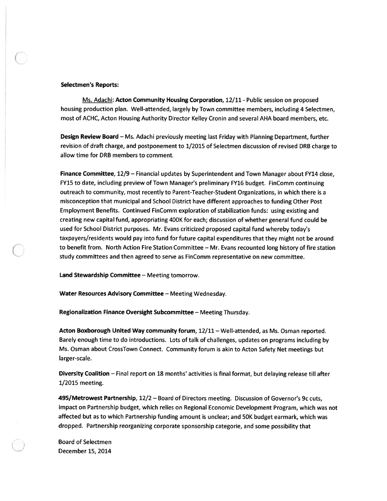#### Selectmen's Reports:

Ms. Adachi: Acton Community Housing Corporation, 12/11 - Public session on proposed housing production plan. Well-attended, largely by Town committee members, including 4 Selectmen, most of ACHC, Acton Housing Authority Director Kelley Cronin and several AHA board members, etc.

Design Review Board — Ms. Adachi previously meeting last Friday with Planning Department, further revision of draft charge, and postponement to 1/2015 of Selectmen discussion of revised DRB charge to allow time for DRB members to comment.

Finance Committee, 12/9 — Financial updates by Superintendent and Town Manager about FY14 close, FY15 to date, including preview of Town Manager's preliminary FY16 budget. FinComm continuing outreach to community, most recently to Parent-Teacher-Student Organizations, in which there is <sup>a</sup> misconception that municipal and School District have different approaches to funding Other Post Employment Benefits. Continued FinComm exploration of stabilization funds: using existing and creating new capital fund, appropriating 400K for each; discussion of whether general fund could be used for School District purposes. Mr. Evans criticized proposed capital fund whereby today's taxpayers/residents would pay into fund for future capital expenditures that they might not be around to benefit from. North Action Fire Station Committee — Mr. Evans recounted long history of fire station study committees and then agreed to serve as FinComm representative on new committee.

Land Stewardship Committee — Meeting tomorrow.

Water Resources Advisory Committee — Meeting Wednesday.

Regionalization Finance Oversight Subcommittee — Meeting Thursday.

Acton Boxborough United Way community forum, 12/11 — Well-attended, as Ms. Osman reported. Barely enoug<sup>h</sup> time to do introductions. Lots of talk of challenges, updates on programs including by Ms. Osman about CrossTown Connect. Community forum is akin to Acton Safety Net meetings but larger-scale.

Diversity Coalition — Final repor<sup>t</sup> on 18 months' activities is final format, but delaying release till after 1/2015 meeting.

495/Metrowest Partnership, 12/2 — Board of Directors meeting. Discussion of Governor's 9c cuts, impact on Partnership budget, which relies on Regional Economic Development Program, which was not affected but as to which Partnership funding amount is unclear; and 50K budget earmark, which was dropped. Partnership reorganizing corporate sponsorship categorie, and some possibility that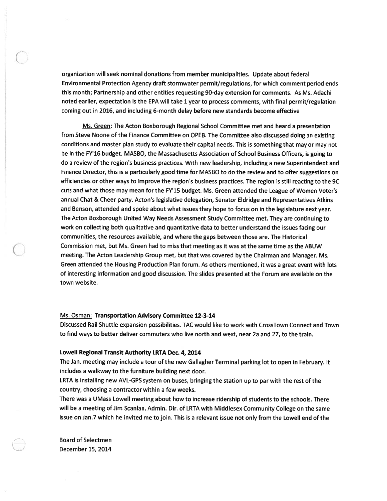organization will seek nominal donations from member municipalities. Update about federal Environmental Protection Agency draft stormwater permit/regulations, for which comment period ends this month; Partnership and other entities requesting 90-day extension for comments. As Ms. Adachi noted earlier, expectation is the EPA will take 1 year to process comments, with final permit/regulation coming out in 2016, and including 6-month delay before new standards become effective

Ms. Green: The Acton Boxborough Regional School Committee met and heard a presentation from Steve Noone of the Finance Committee on OPEB. The Committee also discussed doing an existing conditions and master <sup>p</sup>lan study to evaluate their capital needs. This is something that may or may not be in the FY16 budget. MASBO, the Massachusetts Association of School Business Officers, is going to do <sup>a</sup> review of the region's business practices. With new leadership, including <sup>a</sup> new Superintendent and Finance Director, this is <sup>a</sup> particularly good time for MASBO to do the review and to offer suggestions on efficiencies or other ways to improve the region's business practices. The region is still reacting to the 9C cuts and what those may mean for the FY15 budget. Ms. Green attended the League of Women Voter's annual Chat & Cheer party. Acton's legislative delegation, Senator Eldridge and Representatives Atkins and Benson, attended and spoke about what issues they hope to focus on in the legislature next year. The Acton Boxborough United Way Needs Assessment Study Committee met. They are continuing to work on collecting both qualitative and quantitative data to better understand the issues facing our communities, the resources available, and where the gaps between those are. The Historical Commission met, but Ms. Green had to miss that meeting as it was at the same time as the ABUW meeting. The Acton Leadership Group met, but that was covered by the Chairman and Manager. Ms. Green attended the Housing Production Plan forum. As others mentioned, it was <sup>a</sup> grea<sup>t</sup> event with lots of interesting information and good discussion. The slides presented at the Forum are available on the town website.

#### Ms. Osman: Transportation Advisory Committee 12-3-14

Discussed Rail Shuttle expansion possibilities. TAC would like to work with CrossTown Connect and Town to find ways to better deliver commuters who live north and west, near 2a and 27, to the train.

#### Lowell Regional Transit Authority LRTA Dec. 4, 2014

The Jan. meeting may include <sup>a</sup> tour of the new Gallagher Terminal parking lot to open in February. It includes <sup>a</sup> walkway to the furniture building next door.

LRTA is installing new AVL-GPS system on buses, bringing the station up to par with the rest of the country, choosing <sup>a</sup> contractor within <sup>a</sup> few weeks.

There was <sup>a</sup> UMass Lowell meeting about how to increase ridership of students to the schools. There will be <sup>a</sup> meeting of Jim Scanlan, Admin. Dir. of LRTA with Middlesex Community College on the same issue on Jan.7 which he invited me to join. This is a relevant issue not only from the Lowell end of the

Board of Selectmen December 15, 2014

C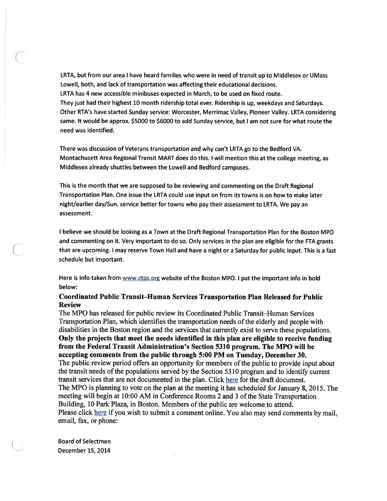LRTA, but from our area <sup>I</sup> have heard families who were in need of transit up to Middlesex or UMass Lowell, both, and lack of transportation was affecting their educational decisions. LRTA has 4 new accessible minibuses expected in March, to be used on fixed route. They just had their highest 10 month ridership total ever. Ridership is up, weekdays and Saturdays. Other RTA's have started Sunday service: Worcester, Merrimac Valley, Pioneer Valley. LRTA considering same. It would be approx. \$5000 to \$6000 to add Sunday service, but I am not sure for what route the need was identified.

There was discussion of Veterans transportation and why can't LRTA go to the Bedford VA. Montachusett Area Regional Transit MART does do this. <sup>I</sup> will mention this at the college meeting, as Middlesex already shuttles between the Lowell and Bedford campuses.

This is the month that we are supposed to be reviewing and commenting on the Draft Regional Transportation Plan. One issue the LRTA could use input on from its towns is on how to make later night/earlier day/Sun. service better for towns who pay their assessment to LRTA. We pay an assessment.

<sup>I</sup> believe we should be looking as <sup>a</sup> Town at the Draft Regional Transportation Plan for the Boston MPO and commenting on it. Very important to do so. Only services in the <sup>p</sup>lan are eligible for the ETA grants that are upcoming. <sup>I</sup> may reserve Town Hall and have <sup>a</sup> night or <sup>a</sup> Saturday for public input. This is <sup>a</sup> fast schedule but important.

Here is info taken from www.ctps.org website of the Boston MPO. I put the important info in bold below:

# Coordinated Public Transit—Human Services Transportation Plan Released for Public Review

The MPO has released for public review its Coordinated Public Transit—Human Services Transportation Plan, which identifies the transportation needs ofthe elderly and people with disabilities in the Boston region and the services that currently exist to serve these populations. Only the projects that meet the needs identified in this <sup>p</sup>lan are eligible to receive funding from the Federal Transit Administration's Section 5310 program. The MPO will be accepting comments from the public through 5:00 PM on Tuesday, December 30. The public review period offers an opportunity for members ofthe public to provide input about the transit needs of the populations served by the Section 5310 program and to identify current transit services that are not documented in the plan. Click here for the draft document. The MPO is <sup>p</sup>lanning to vote on the <sup>p</sup>lan at the meeting it has scheduled for January 8, 2015. The meeting will begin at 10:00 AM in Conference Rooms 2 and 3 of the State Transportation Building, 10 Park Plaza, in Boston. Members of the public are welcome to attend. Please click here if you wish to submit a comment online. You also may send comments by mail, email, fax, or phone: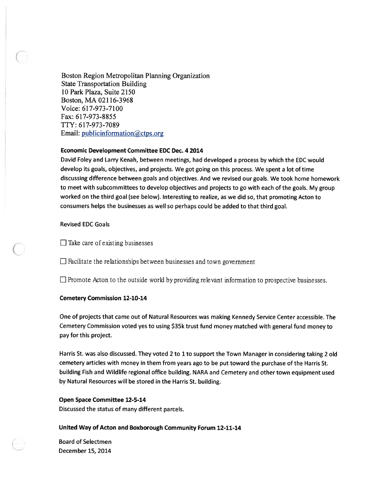Boston Region Metropolitan Planning Organization State Transportation Building 10 Park Plaza, Suite 2150 Boston, MA 02116-3968 Voice: 617-973-7100 Fax: 617-973-8855 flY: 617-973-7089 Email: publicinformation@ctps.org

## Economic Development Committee EDC Dec. 4 2014

David Foley and Larry Kenah, between meetings, had developed <sup>a</sup> process by which the EDC would develop its goals, objectives, and projects. We go<sup>t</sup> going on this process. We spen<sup>t</sup> <sup>a</sup> lot of time discussing difference between goals and objectives. And we revised our goals. We took home homework to meet with subcommittees to develop objectives and projects to go with each of the goals. My group worked on the third goal (see below). Interesting to realize, as we did so, that promoting Acton to consumers helps the businesses as well so perhaps could be added to that third goal.

Revised EDC Goals

C

 $\Box$  Take care of existing businesses

 $\Box$  Facilitate the relationships between businesses and town government

 $\Box$  Promote Acton to the outside world by providing relevant information to prospective businesses.

## Cemetery Commission 12-10-14

One of projects that came out of Natural Resources was making Kennedy Service Center accessible. The Cemetery Commission voted yes to using \$35k trust fund money matched with genera<sup>l</sup> fund money to pay for this project.

Harris St. was also discussed. They voted <sup>2</sup> to <sup>1</sup> to suppor<sup>t</sup> the Town Manager in considering taking <sup>2</sup> old cemetery articles with money in them from years ago to be pu<sup>t</sup> toward the purchase of the Harris St. building Fish and Wildlife regional office building. NARA and Cemetery and other town equipment used by Natural Resources will be stored in the Harris St. building.

# Open Space Committee 12-5-14

Discussed the status of many different parcels.

## United Way of Acton and Boxborough Community Forum 12-11-14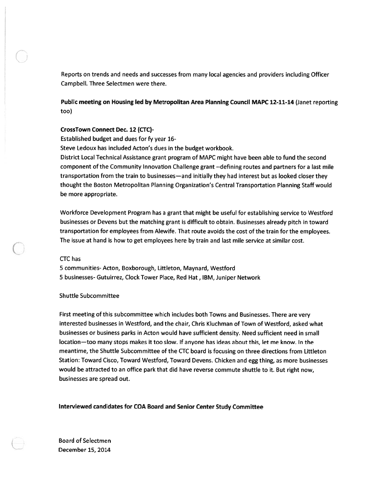Reports on trends and needs and successes from many local agencies and providers including Officer Campbell. Three Selectmen were there.

Public meeting on Housing led by Metropolitan Area Planning Council MAPC 12-11-14 (Janet reporting too)

#### CrossTown Connect Dec. 12 (CTC)

Established budget and dues for fy year 16-

Steve Ledoux has included Acton's dues in the budget workbook.

District Local Technical Assistance gran<sup>t</sup> program of MAPC might have been able to fund the second componen<sup>t</sup> of the Community Innovation Challenge gran<sup>t</sup> --defining routes and partners for <sup>a</sup> last mile transportation from the train to businesses—and initially they had interest but as looked closer they thought the Boston Metropolitan Planning Organization's Central Transportation Planning Staff would be more appropriate.

Workforce Development Program has <sup>a</sup> gran<sup>t</sup> that might be useful for establishing service to Westford businesses or Devens but the matching gran<sup>t</sup> is difficult to obtain. Businesses already pitch in toward transportation for employees from Alewife. That route avoids the cost of the train for the employees. The issue at hand is how to ge<sup>t</sup> employees here by train and last mile service at similar cost.

#### CTC has

C

5 communities- Acton, Boxborough, Littleton, Maynard, Westford 5 businesses- Gutuirrez, Clock Tower Place, Red Hat, IBM, Juniper Network

# Shuttle Subcommittee

First meeting of this subcommittee which includes both Towns and Businesses. There are very interested businesses in Westford, and the chair, Chris Kluchman of Town of Westford, asked what businesses or business parks in Acton would have sufficient density. Need sufficient need in small location—too many stops makes it too slow. If anyone has ideas about this, let me know. In the meantime, the Shuttle Subcommittee of the CTC board is focusing on three directions from Littleton Station: Toward Cisco, Toward Westford, Toward Devens. Chicken and egg thing, as more businesses would be attracted to an office par<sup>k</sup> that did have reverse commute shuttle to it. But right now, businesses are spread out.

Interviewed candidates for COA Board and Senior Center Study Committee